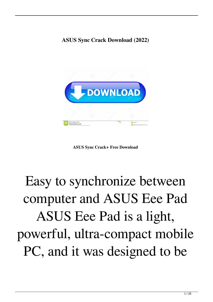#### **ASUS Sync Crack Download (2022)**



**ASUS Sync Crack+ Free Download**

# Easy to synchronize between computer and ASUS Eee Pad ASUS Eee Pad is a light, powerful, ultra-compact mobile PC, and it was designed to be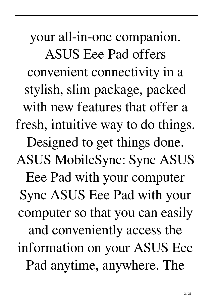your all-in-one companion. ASUS Eee Pad offers convenient connectivity in a stylish, slim package, packed with new features that offer a fresh, intuitive way to do things. Designed to get things done. ASUS MobileSync: Sync ASUS Eee Pad with your computer Sync ASUS Eee Pad with your computer so that you can easily and conveniently access the information on your ASUS Eee Pad anytime, anywhere. The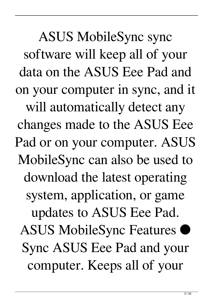ASUS MobileSync sync software will keep all of your data on the ASUS Eee Pad and on your computer in sync, and it will automatically detect any changes made to the ASUS Eee Pad or on your computer. ASUS MobileSync can also be used to download the latest operating system, application, or game updates to ASUS Eee Pad. ASUS MobileSync Features ● Sync ASUS Eee Pad and your computer. Keeps all of your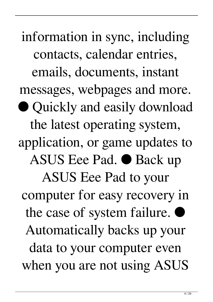information in sync, including contacts, calendar entries, emails, documents, instant messages, webpages and more. ● Quickly and easily download the latest operating system, application, or game updates to ASUS Eee Pad. ● Back up ASUS Eee Pad to your computer for easy recovery in the case of system failure. ● Automatically backs up your data to your computer even when you are not using ASUS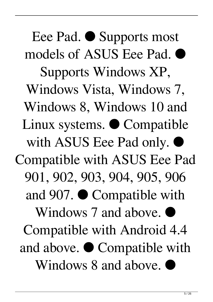Eee Pad. ● Supports most models of ASUS Eee Pad. ● Supports Windows XP, Windows Vista, Windows 7, Windows 8, Windows 10 and Linux systems. ● Compatible with ASUS Eee Pad only. Compatible with ASUS Eee Pad 901, 902, 903, 904, 905, 906 and 907. ● Compatible with Windows 7 and above. Compatible with Android 4.4 and above. ● Compatible with Windows 8 and above.  $\bullet$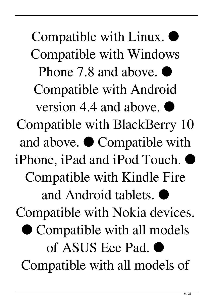Compatible with Linux. ● Compatible with Windows Phone 7.8 and above. Compatible with Android version  $4.4$  and above. Compatible with BlackBerry 10 and above. ● Compatible with iPhone, iPad and iPod Touch. ● Compatible with Kindle Fire and Android tablets.  $\bullet$ Compatible with Nokia devices. ● Compatible with all models of ASUS Eee Pad. ● Compatible with all models of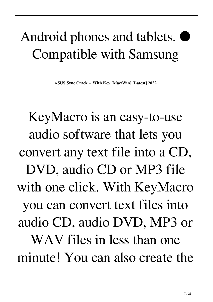### Android phones and tablets.  $\bullet$ Compatible with Samsung

**ASUS Sync Crack + With Key [Mac/Win] [Latest] 2022**

KeyMacro is an easy-to-use audio software that lets you convert any text file into a CD, DVD, audio CD or MP3 file with one click. With KeyMacro you can convert text files into audio CD, audio DVD, MP3 or WAV files in less than one minute! You can also create the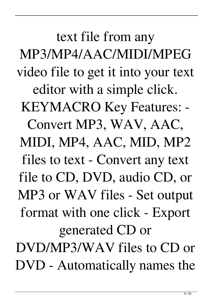text file from any MP3/MP4/AAC/MIDI/MPEG video file to get it into your text editor with a simple click. KEYMACRO Key Features: - Convert MP3, WAV, AAC, MIDI, MP4, AAC, MID, MP2 files to text - Convert any text file to CD, DVD, audio CD, or MP3 or WAV files - Set output format with one click - Export generated CD or DVD/MP3/WAV files to CD or DVD - Automatically names the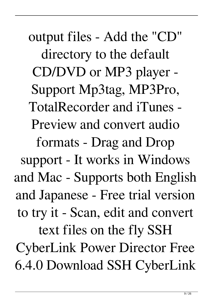output files - Add the "CD" directory to the default CD/DVD or MP3 player - Support Mp3tag, MP3Pro, TotalRecorder and iTunes - Preview and convert audio formats - Drag and Drop support - It works in Windows and Mac - Supports both English and Japanese - Free trial version to try it - Scan, edit and convert text files on the fly SSH CyberLink Power Director Free 6.4.0 Download SSH CyberLink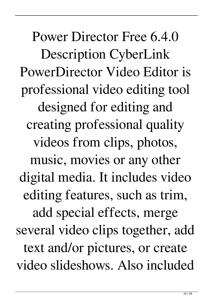Power Director Free 6.4.0 Description CyberLink PowerDirector Video Editor is professional video editing tool designed for editing and creating professional quality videos from clips, photos, music, movies or any other digital media. It includes video editing features, such as trim, add special effects, merge several video clips together, add text and/or pictures, or create video slideshows. Also included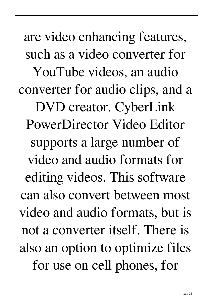are video enhancing features, such as a video converter for YouTube videos, an audio converter for audio clips, and a DVD creator. CyberLink PowerDirector Video Editor supports a large number of video and audio formats for editing videos. This software can also convert between most video and audio formats, but is not a converter itself. There is also an option to optimize files for use on cell phones, for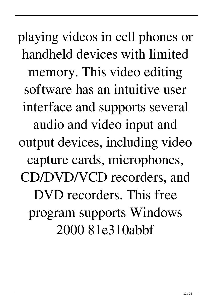playing videos in cell phones or handheld devices with limited memory. This video editing software has an intuitive user interface and supports several audio and video input and output devices, including video capture cards, microphones, CD/DVD/VCD recorders, and DVD recorders. This free program supports Windows 2000 81e310abbf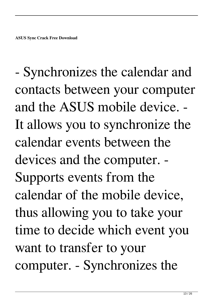- Synchronizes the calendar and contacts between your computer and the ASUS mobile device. - It allows you to synchronize the calendar events between the devices and the computer. - Supports events from the calendar of the mobile device, thus allowing you to take your time to decide which event you want to transfer to your computer. - Synchronizes the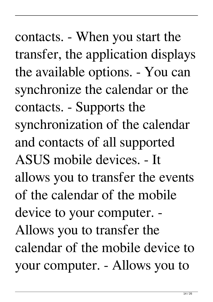contacts. - When you start the transfer, the application displays the available options. - You can synchronize the calendar or the contacts. - Supports the synchronization of the calendar and contacts of all supported ASUS mobile devices. - It allows you to transfer the events of the calendar of the mobile device to your computer. - Allows you to transfer the calendar of the mobile device to your computer. - Allows you to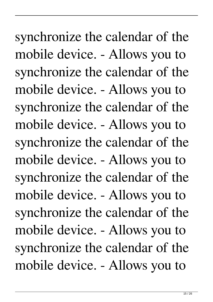synchronize the calendar of the mobile device. - Allows you to synchronize the calendar of the mobile device. - Allows you to synchronize the calendar of the mobile device. - Allows you to synchronize the calendar of the mobile device. - Allows you to synchronize the calendar of the mobile device. - Allows you to synchronize the calendar of the mobile device. - Allows you to synchronize the calendar of the mobile device. - Allows you to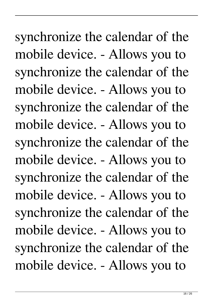synchronize the calendar of the mobile device. - Allows you to synchronize the calendar of the mobile device. - Allows you to synchronize the calendar of the mobile device. - Allows you to synchronize the calendar of the mobile device. - Allows you to synchronize the calendar of the mobile device. - Allows you to synchronize the calendar of the mobile device. - Allows you to synchronize the calendar of the mobile device. - Allows you to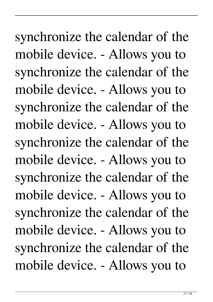synchronize the calendar of the mobile device. - Allows you to synchronize the calendar of the mobile device. - Allows you to synchronize the calendar of the mobile device. - Allows you to synchronize the calendar of the mobile device. - Allows you to synchronize the calendar of the mobile device. - Allows you to synchronize the calendar of the mobile device. - Allows you to synchronize the calendar of the mobile device. - Allows you to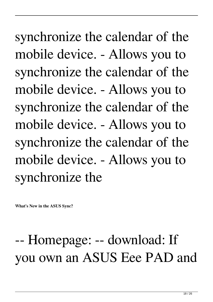synchronize the calendar of the mobile device. - Allows you to synchronize the calendar of the mobile device. - Allows you to synchronize the calendar of the mobile device. - Allows you to synchronize the calendar of the mobile device. - Allows you to synchronize the

**What's New in the ASUS Sync?**

## -- Homepage: -- download: If you own an ASUS Eee PAD and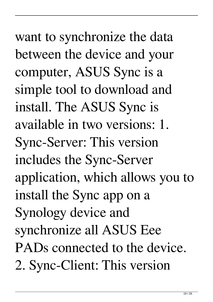want to synchronize the data between the device and your computer, ASUS Sync is a simple tool to download and install. The ASUS Sync is available in two versions: 1. Sync-Server: This version includes the Sync-Server application, which allows you to install the Sync app on a Synology device and synchronize all ASUS Eee PADs connected to the device. 2. Sync-Client: This version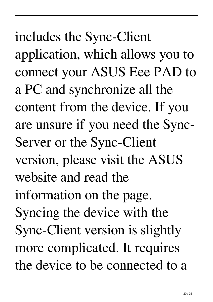includes the Sync-Client application, which allows you to connect your ASUS Eee PAD to a PC and synchronize all the content from the device. If you are unsure if you need the Sync-Server or the Sync-Client version, please visit the ASUS website and read the information on the page. Syncing the device with the Sync-Client version is slightly more complicated. It requires the device to be connected to a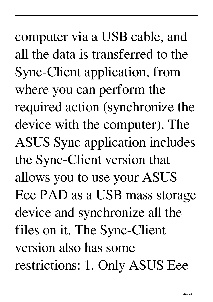computer via a USB cable, and all the data is transferred to the Sync-Client application, from where you can perform the required action (synchronize the device with the computer). The ASUS Sync application includes the Sync-Client version that allows you to use your ASUS Eee PAD as a USB mass storage device and synchronize all the files on it. The Sync-Client version also has some restrictions: 1. Only ASUS Eee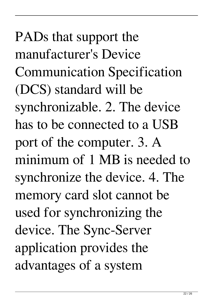PADs that support the manufacturer's Device Communication Specification (DCS) standard will be synchronizable. 2. The device has to be connected to a USB port of the computer. 3. A minimum of 1 MB is needed to synchronize the device. 4. The memory card slot cannot be used for synchronizing the device. The Sync-Server application provides the advantages of a system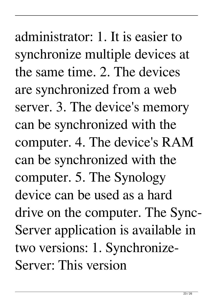administrator: 1. It is easier to synchronize multiple devices at the same time. 2. The devices are synchronized from a web server. 3. The device's memory can be synchronized with the computer. 4. The device's RAM can be synchronized with the computer. 5. The Synology device can be used as a hard drive on the computer. The Sync-Server application is available in two versions: 1. Synchronize-Server: This version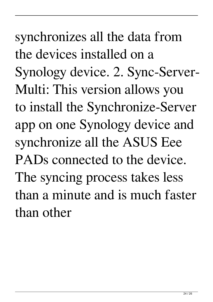synchronizes all the data from the devices installed on a Synology device. 2. Sync-Server-Multi: This version allows you to install the Synchronize-Server app on one Synology device and synchronize all the ASUS Eee PADs connected to the device. The syncing process takes less than a minute and is much faster than other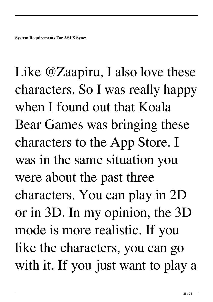Like @Zaapiru, I also love these characters. So I was really happy when I found out that Koala Bear Games was bringing these characters to the App Store. I was in the same situation you were about the past three characters. You can play in 2D or in 3D. In my opinion, the 3D mode is more realistic. If you like the characters, you can go with it. If you just want to play a